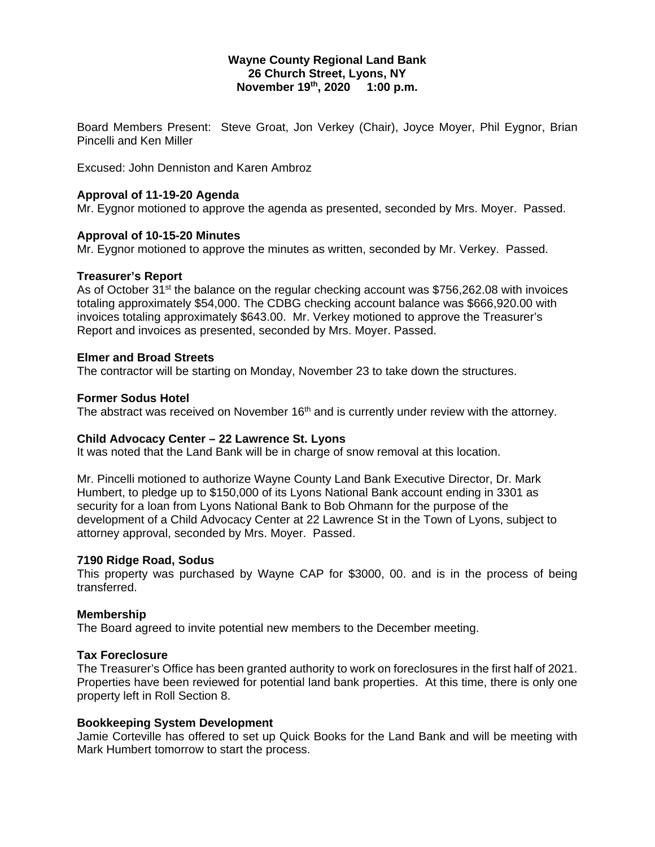### **Wayne County Regional Land Bank 26 Church Street, Lyons, NY November 19th, 2020 1:00 p.m.**

Board Members Present: Steve Groat, Jon Verkey (Chair), Joyce Moyer, Phil Eygnor, Brian Pincelli and Ken Miller

Excused: John Denniston and Karen Ambroz

### **Approval of 11-19-20 Agenda**

Mr. Eygnor motioned to approve the agenda as presented, seconded by Mrs. Moyer. Passed.

# **Approval of 10-15-20 Minutes**

Mr. Eygnor motioned to approve the minutes as written, seconded by Mr. Verkey. Passed.

# **Treasurer's Report**

As of October 31<sup>st</sup> the balance on the regular checking account was \$756,262.08 with invoices totaling approximately \$54,000. The CDBG checking account balance was \$666,920.00 with invoices totaling approximately \$643.00. Mr. Verkey motioned to approve the Treasurer's Report and invoices as presented, seconded by Mrs. Moyer. Passed.

# **Elmer and Broad Streets**

The contractor will be starting on Monday, November 23 to take down the structures.

# **Former Sodus Hotel**

The abstract was received on November  $16<sup>th</sup>$  and is currently under review with the attorney.

### **Child Advocacy Center – 22 Lawrence St. Lyons**

It was noted that the Land Bank will be in charge of snow removal at this location.

Mr. Pincelli motioned to authorize Wayne County Land Bank Executive Director, Dr. Mark Humbert, to pledge up to \$150,000 of its Lyons National Bank account ending in 3301 as security for a loan from Lyons National Bank to Bob Ohmann for the purpose of the development of a Child Advocacy Center at 22 Lawrence St in the Town of Lyons, subject to attorney approval, seconded by Mrs. Moyer. Passed.

### **7190 Ridge Road, Sodus**

This property was purchased by Wayne CAP for \$3000, 00. and is in the process of being transferred.

### **Membership**

The Board agreed to invite potential new members to the December meeting.

### **Tax Foreclosure**

The Treasurer's Office has been granted authority to work on foreclosures in the first half of 2021. Properties have been reviewed for potential land bank properties. At this time, there is only one property left in Roll Section 8.

### **Bookkeeping System Development**

Jamie Corteville has offered to set up Quick Books for the Land Bank and will be meeting with Mark Humbert tomorrow to start the process.